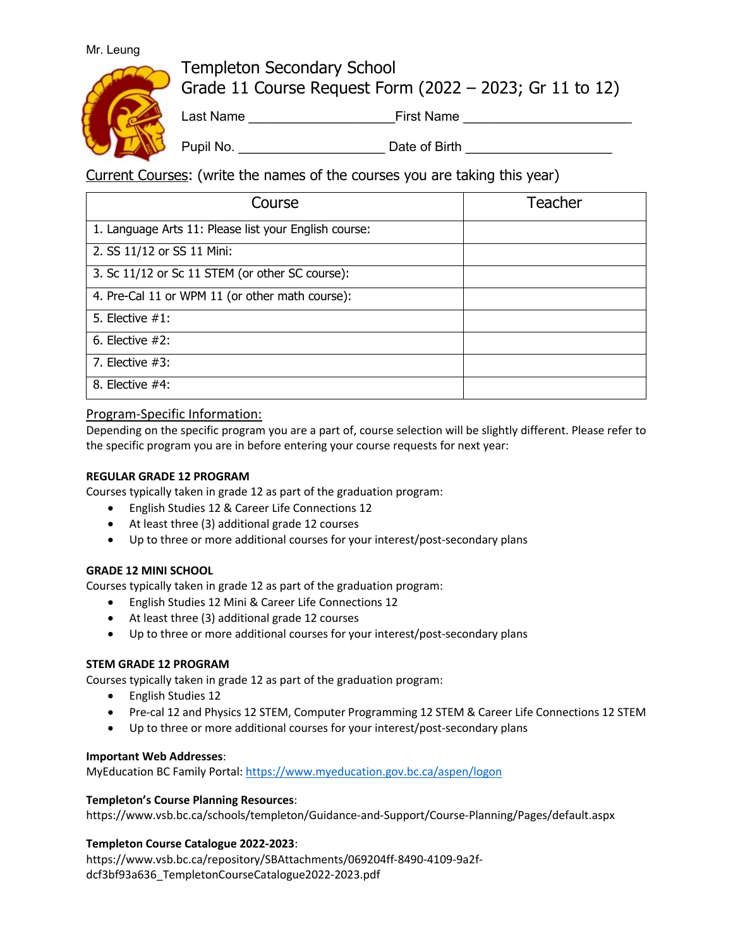### Mr. Leung



Templeton Secondary School Grade 11 Course Request Form (2022 – 2023; Gr 11 to 12)

Last Name \_\_\_\_\_\_\_\_\_\_\_\_\_\_\_\_\_\_\_\_First Name \_\_\_\_\_\_\_\_\_\_\_\_\_\_\_\_\_\_\_\_\_\_\_

Pupil No. \_\_\_\_\_\_\_\_\_\_\_\_\_\_\_\_\_\_\_\_ Date of Birth \_\_\_\_\_\_\_\_\_\_\_\_\_\_\_\_\_\_\_\_

Current Courses: (write the names of the courses you are taking this year)

| Course                                                | Teacher |
|-------------------------------------------------------|---------|
| 1. Language Arts 11: Please list your English course: |         |
| 2. SS 11/12 or SS 11 Mini:                            |         |
| 3. Sc 11/12 or Sc 11 STEM (or other SC course):       |         |
| 4. Pre-Cal 11 or WPM 11 (or other math course):       |         |
| 5. Elective $#1$ :                                    |         |
| 6. Elective $#2$ :                                    |         |
| 7. Elective $#3$ :                                    |         |
| 8. Elective $#4$ :                                    |         |

# Program-Specific Information:

Depending on the specific program you are a part of, course selection will be slightly different. Please refer to the specific program you are in before entering your course requests for next year:

## **REGULAR GRADE 12 PROGRAM**

Courses typically taken in grade 12 as part of the graduation program:

- English Studies 12 & Career Life Connections 12
- At least three (3) additional grade 12 courses
- Up to three or more additional courses for your interest/post-secondary plans

## **GRADE 12 MINI SCHOOL**

Courses typically taken in grade 12 as part of the graduation program:

- English Studies 12 Mini & Career Life Connections 12
- At least three (3) additional grade 12 courses
- Up to three or more additional courses for your interest/post-secondary plans

## **STEM GRADE 12 PROGRAM**

Courses typically taken in grade 12 as part of the graduation program:

- English Studies 12
- Pre-cal 12 and Physics 12 STEM, Computer Programming 12 STEM & Career Life Connections 12 STEM
- Up to three or more additional courses for your interest/post-secondary plans

#### **Important Web Addresses**:

MyEducation BC Family Portal: https://www.myeducation.gov.bc.ca/aspen/logon

#### **Templeton's Course Planning Resources**:

https://www.vsb.bc.ca/schools/templeton/Guidance-and-Support/Course-Planning/Pages/default.aspx

#### **Templeton Course Catalogue 2022-2023**:

https://www.vsb.bc.ca/repository/SBAttachments/069204ff-8490-4109-9a2fdcf3bf93a636\_TempletonCourseCatalogue2022-2023.pdf